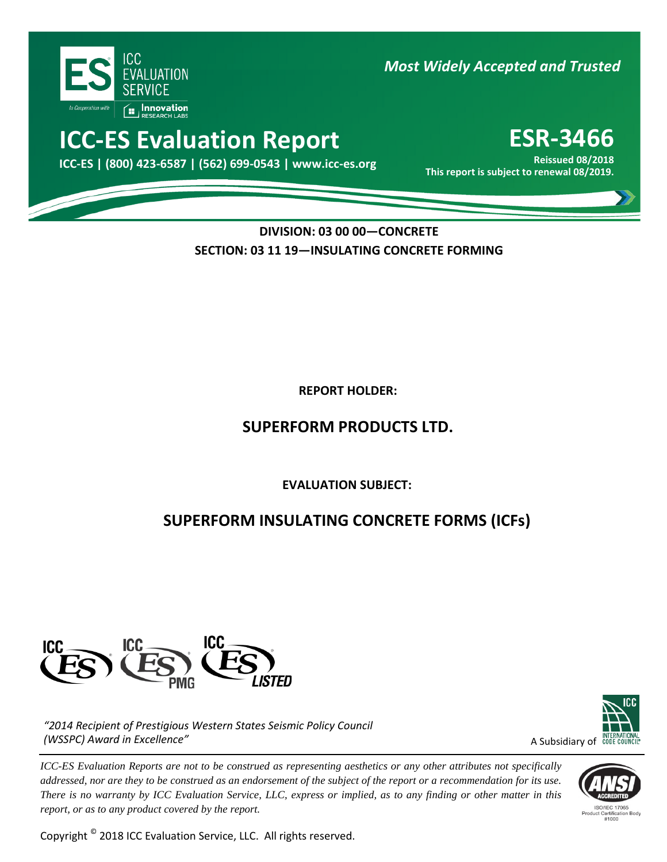

*Most Widely Accepted and Trusted* 

# **ICC-ES Evaluation Report <b>ESR-3466**

000 **This report is subject to renewal 08/2019. ICC-ES | (800) 423-6587 | (562) 699-0543 | www.icc-es.org**

**Reissued 08/2018**

**DIVISION: 03 00 00—CONCRETE SECTION: 03 11 19—INSULATING CONCRETE FORMING**

**REPORT HOLDER:** 

## **SUPERFORM PRODUCTS LTD.**

**EVALUATION SUBJECT:**

## **SUPERFORM INSULATING CONCRETE FORMS (ICFs)**



*"2014 Recipient of Prestigious Western States Seismic Policy Council (WSSPC) Award in Excellence"*

*ICC-ES Evaluation Reports are not to be construed as representing aesthetics or any other attributes not specifically addressed, nor are they to be construed as an endorsement of the subject of the report or a recommendation for its use. There is no warranty by ICC Evaluation Service, LLC, express or implied, as to any finding or other matter in this report, or as to any product covered by the report.*

Copyright © 2018 ICC Evaluation Service, LLC. All rights reserved.



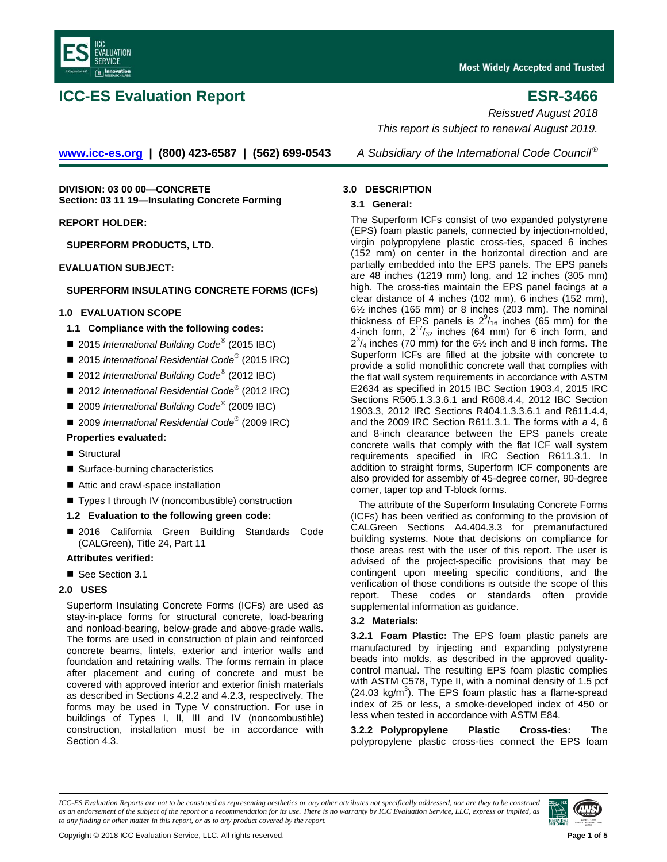

### **ICC-ES Evaluation Report ESR-3466**

*Reissued August 2018*

**[www.icc-es.org](http://www.icc-es.org/) | (800) 423-6587 | (562) 699-0543** *A Subsidiary of the International Code Council ®*

**DIVISION: 03 00 00—CONCRETE Section: 03 11 19—Insulating Concrete Forming**

**REPORT HOLDER:**

**SUPERFORM PRODUCTS, LTD.**

**EVALUATION SUBJECT:**

### **SUPERFORM INSULATING CONCRETE FORMS (ICFs)**

#### **1.0 EVALUATION SCOPE**

#### **1.1 Compliance with the following codes:**

- 2015 *International Building Code<sup>®</sup> (2015 IBC)*
- 2015 *International Residential Code<sup>®</sup> (2015 IRC)*
- 2012 *International Building Code<sup>®</sup> (2012 IBC)*
- 2012 *International Residential Code<sup>®</sup> (2012 IRC)*
- 2009 *International Building Code<sup>®</sup> (2009 IBC)*
- 2009 *International Residential Code*<sup>®</sup> (2009 IRC)

#### **Properties evaluated:**

- Structural
- Surface-burning characteristics
- Attic and crawl-space installation
- Types I through IV (noncombustible) construction

#### **1.2 Evaluation to the following green code:**

■ 2016 California Green Building Standards Code (CALGreen), Title 24, Part 11

#### **Attributes verified:**

■ See Section 3.1

#### **2.0 USES**

Superform Insulating Concrete Forms (ICFs) are used as stay-in-place forms for structural concrete, load-bearing and nonload-bearing, below-grade and above-grade walls. The forms are used in construction of plain and reinforced concrete beams, lintels, exterior and interior walls and foundation and retaining walls. The forms remain in place after placement and curing of concrete and must be covered with approved interior and exterior finish materials as described in Sections 4.2.2 and 4.2.3, respectively. The forms may be used in Type V construction. For use in buildings of Types I, II, III and IV (noncombustible) construction, installation must be in accordance with Section 4.3.

#### **3.0 DESCRIPTION**

#### **3.1 General:**

The Superform ICFs consist of two expanded polystyrene (EPS) foam plastic panels, connected by injection-molded, virgin polypropylene plastic cross-ties, spaced 6 inches (152 mm) on center in the horizontal direction and are partially embedded into the EPS panels. The EPS panels are 48 inches (1219 mm) long, and 12 inches (305 mm) high. The cross-ties maintain the EPS panel facings at a clear distance of 4 inches (102 mm), 6 inches (152 mm), 6½ inches (165 mm) or 8 inches (203 mm). The nominal thickness of EPS panels is  $2^9/_{16}$  inches (65 mm) for the 4-inch form,  $2^{17}/_{32}$  inches (64 mm) for 6 inch form, and  $2^3$ /<sub>4</sub> inches (70 mm) for the 6<sup>1</sup>/<sub>2</sub> inch and 8 inch forms. The Superform ICFs are filled at the jobsite with concrete to provide a solid monolithic concrete wall that complies with the flat wall system requirements in accordance with ASTM E2634 as specified in 2015 IBC Section 1903.4, 2015 IRC Sections R505.1.3.3.6.1 and R608.4.4, 2012 IBC Section 1903.3, 2012 IRC Sections R404.1.3.3.6.1 and R611.4.4, and the 2009 IRC Section R611.3.1. The forms with a 4, 6 and 8-inch clearance between the EPS panels create concrete walls that comply with the flat ICF wall system requirements specified in IRC Section R611.3.1. In addition to straight forms, Superform ICF components are also provided for assembly of 45-degree corner, 90-degree corner, taper top and T-block forms.

*This report is subject to renewal August 2019.*

The attribute of the Superform Insulating Concrete Forms (ICFs) has been verified as conforming to the provision of CALGreen Sections A4.404.3.3 for premanufactured building systems. Note that decisions on compliance for those areas rest with the user of this report. The user is advised of the project-specific provisions that may be contingent upon meeting specific conditions, and the verification of those conditions is outside the scope of this report. These codes or standards often provide supplemental information as guidance.

#### **3.2 Materials:**

**3.2.1 Foam Plastic:** The EPS foam plastic panels are manufactured by injecting and expanding polystyrene beads into molds, as described in the approved qualitycontrol manual. The resulting EPS foam plastic complies with ASTM C578, Type II, with a nominal density of 1.5 pcf  $(24.03 \text{ kg/m}^3)$ . The EPS foam plastic has a flame-spread index of 25 or less, a smoke-developed index of 450 or less when tested in accordance with ASTM E84.

**3.2.2 Polypropylene Plastic Cross-ties:** The polypropylene plastic cross-ties connect the EPS foam

*ICC-ES Evaluation Reports are not to be construed as representing aesthetics or any other attributes not specifically addressed, nor are they to be construed as an endorsement of the subject of the report or a recommendation for its use. There is no warranty by ICC Evaluation Service, LLC, express or implied, as to any finding or other matter in this report, or as to any product covered by the report.*

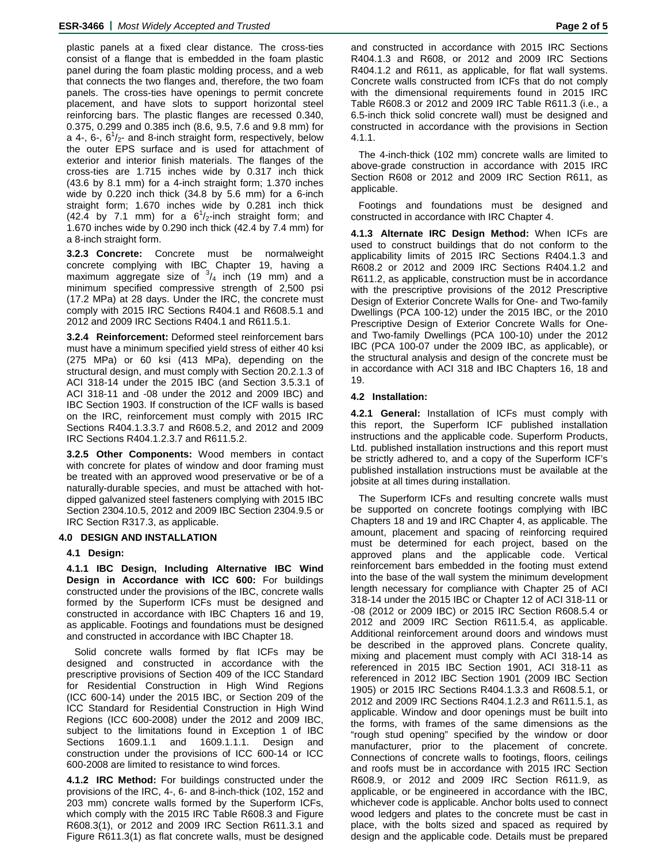plastic panels at a fixed clear distance. The cross-ties consist of a flange that is embedded in the foam plastic panel during the foam plastic molding process, and a web that connects the two flanges and, therefore, the two foam panels. The cross-ties have openings to permit concrete placement, and have slots to support horizontal steel reinforcing bars. The plastic flanges are recessed 0.340, 0.375, 0.299 and 0.385 inch (8.6, 9.5, 7.6 and 9.8 mm) for a 4-, 6-,  $6^{1}/_{2}$ - and 8-inch straight form, respectively, below the outer EPS surface and is used for attachment of exterior and interior finish materials. The flanges of the cross-ties are 1.715 inches wide by 0.317 inch thick (43.6 by 8.1 mm) for a 4-inch straight form; 1.370 inches wide by 0.220 inch thick (34.8 by 5.6 mm) for a 6-inch straight form; 1.670 inches wide by 0.281 inch thick  $(42.\overline{4}$  by 7.1 mm) for a  $6^{1}/_{2}$ -inch straight form; and 1.670 inches wide by 0.290 inch thick (42.4 by 7.4 mm) for a 8-inch straight form.

**3.2.3 Concrete:** Concrete must be normalweight concrete complying with IBC Chapter 19, having a maximum aggregate size of  $\frac{3}{4}$  inch (19 mm) and a minimum specified compressive strength of 2,500 psi (17.2 MPa) at 28 days. Under the IRC, the concrete must comply with 2015 IRC Sections R404.1 and R608.5.1 and 2012 and 2009 IRC Sections R404.1 and R611.5.1.

**3.2.4 Reinforcement:** Deformed steel reinforcement bars must have a minimum specified yield stress of either 40 ksi (275 MPa) or 60 ksi (413 MPa), depending on the structural design, and must comply with Section 20.2.1.3 of ACI 318-14 under the 2015 IBC (and Section 3.5.3.1 of ACI 318-11 and -08 under the 2012 and 2009 IBC) and IBC Section 1903. If construction of the ICF walls is based on the IRC, reinforcement must comply with 2015 IRC Sections R404.1.3.3.7 and R608.5.2, and 2012 and 2009 IRC Sections R404.1.2.3.7 and R611.5.2.

**3.2.5 Other Components:** Wood members in contact with concrete for plates of window and door framing must be treated with an approved wood preservative or be of a naturally-durable species, and must be attached with hotdipped galvanized steel fasteners complying with 2015 IBC Section 2304.10.5, 2012 and 2009 IBC Section 2304.9.5 or IRC Section R317.3, as applicable.

### **4.0 DESIGN AND INSTALLATION**

#### **4.1 Design:**

**4.1.1 IBC Design, Including Alternative IBC Wind Design in Accordance with ICC 600:** For buildings constructed under the provisions of the IBC, concrete walls formed by the Superform ICFs must be designed and constructed in accordance with IBC Chapters 16 and 19, as applicable. Footings and foundations must be designed and constructed in accordance with IBC Chapter 18.

Solid concrete walls formed by flat ICFs may be designed and constructed in accordance with the prescriptive provisions of Section 409 of the ICC Standard for Residential Construction in High Wind Regions (ICC 600-14) under the 2015 IBC, or Section 209 of the ICC Standard for Residential Construction in High Wind Regions (ICC 600-2008) under the 2012 and 2009 IBC, subject to the limitations found in Exception 1 of IBC Sections 1609.1.1 and 1609.1.1.1. Design and construction under the provisions of ICC 600-14 or ICC 600-2008 are limited to resistance to wind forces.

**4.1.2 IRC Method:** For buildings constructed under the provisions of the IRC, 4-, 6- and 8-inch-thick (102, 152 and 203 mm) concrete walls formed by the Superform ICFs, which comply with the 2015 IRC Table R608.3 and Figure R608.3(1), or 2012 and 2009 IRC Section R611.3.1 and Figure R611.3(1) as flat concrete walls, must be designed

and constructed in accordance with 2015 IRC Sections R404.1.3 and R608, or 2012 and 2009 IRC Sections R404.1.2 and R611, as applicable, for flat wall systems. Concrete walls constructed from ICFs that do not comply with the dimensional requirements found in 2015 IRC Table R608.3 or 2012 and 2009 IRC Table R611.3 (i.e., a 6.5-inch thick solid concrete wall) must be designed and constructed in accordance with the provisions in Section 4.1.1.

The 4-inch-thick (102 mm) concrete walls are limited to above-grade construction in accordance with 2015 IRC Section R608 or 2012 and 2009 IRC Section R611, as applicable.

Footings and foundations must be designed and constructed in accordance with IRC Chapter 4.

**4.1.3 Alternate IRC Design Method:** When ICFs are used to construct buildings that do not conform to the applicability limits of 2015 IRC Sections R404.1.3 and R608.2 or 2012 and 2009 IRC Sections R404.1.2 and R611.2, as applicable, construction must be in accordance with the prescriptive provisions of the 2012 Prescriptive Design of Exterior Concrete Walls for One- and Two-family Dwellings (PCA 100-12) under the 2015 IBC, or the 2010 Prescriptive Design of Exterior Concrete Walls for Oneand Two-family Dwellings (PCA 100-10) under the 2012 IBC (PCA 100-07 under the 2009 IBC, as applicable), or the structural analysis and design of the concrete must be in accordance with ACI 318 and IBC Chapters 16, 18 and 19.

#### **4.2 Installation:**

**4.2.1 General:** Installation of ICFs must comply with this report, the Superform ICF published installation instructions and the applicable code. Superform Products, Ltd. published installation instructions and this report must be strictly adhered to, and a copy of the Superform ICF's published installation instructions must be available at the jobsite at all times during installation.

The Superform ICFs and resulting concrete walls must be supported on concrete footings complying with IBC Chapters 18 and 19 and IRC Chapter 4, as applicable. The amount, placement and spacing of reinforcing required must be determined for each project, based on the approved plans and the applicable code. Vertical reinforcement bars embedded in the footing must extend into the base of the wall system the minimum development length necessary for compliance with Chapter 25 of ACI 318-14 under the 2015 IBC or Chapter 12 of ACI 318-11 or -08 (2012 or 2009 IBC) or 2015 IRC Section R608.5.4 or 2012 and 2009 IRC Section R611.5.4, as applicable. Additional reinforcement around doors and windows must be described in the approved plans. Concrete quality, mixing and placement must comply with ACI 318-14 as referenced in 2015 IBC Section 1901, ACI 318-11 as referenced in 2012 IBC Section 1901 (2009 IBC Section 1905) or 2015 IRC Sections R404.1.3.3 and R608.5.1, or 2012 and 2009 IRC Sections R404.1.2.3 and R611.5.1, as applicable. Window and door openings must be built into the forms, with frames of the same dimensions as the "rough stud opening" specified by the window or door manufacturer, prior to the placement of concrete. Connections of concrete walls to footings, floors, ceilings and roofs must be in accordance with 2015 IRC Section R608.9, or 2012 and 2009 IRC Section R611.9, as applicable, or be engineered in accordance with the IBC, whichever code is applicable. Anchor bolts used to connect wood ledgers and plates to the concrete must be cast in place, with the bolts sized and spaced as required by design and the applicable code. Details must be prepared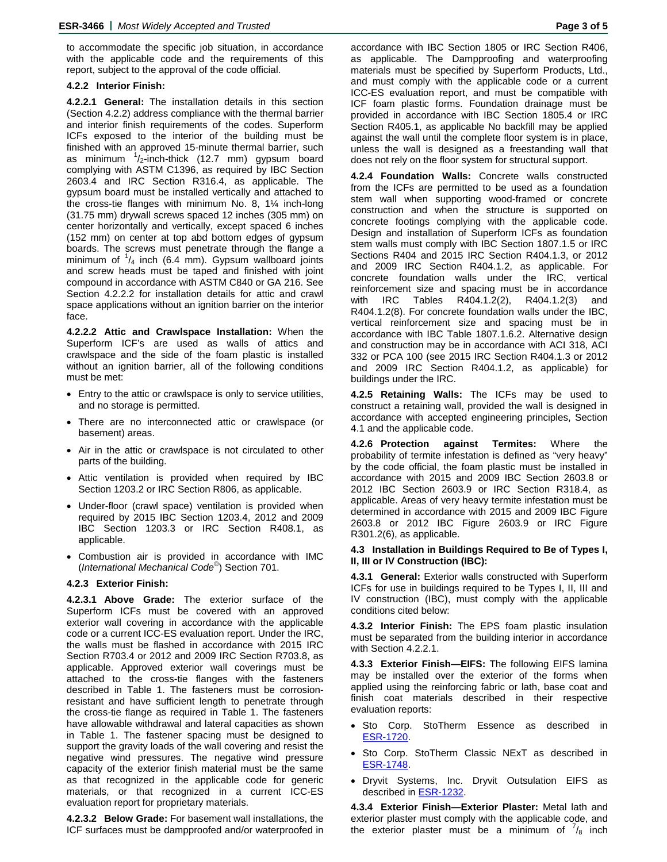to accommodate the specific job situation, in accordance with the applicable code and the requirements of this report, subject to the approval of the code official.

#### **4.2.2 Interior Finish:**

**4.2.2.1 General:** The installation details in this section (Section 4.2.2) address compliance with the thermal barrier and interior finish requirements of the codes. Superform ICFs exposed to the interior of the building must be finished with an approved 15-minute thermal barrier, such as minimum <sup>1</sup>/<sub>2</sub>-inch-thick (12.7 mm) gypsum board complying with ASTM C1396, as required by IBC Section 2603.4 and IRC Section R316.4, as applicable. The gypsum board must be installed vertically and attached to the cross-tie flanges with minimum No. 8, 1¼ inch-long (31.75 mm) drywall screws spaced 12 inches (305 mm) on center horizontally and vertically, except spaced 6 inches (152 mm) on center at top abd bottom edges of gypsum boards. The screws must penetrate through the flange a minimum of  $\frac{1}{4}$  inch (6.4 mm). Gypsum wallboard joints and screw heads must be taped and finished with joint compound in accordance with ASTM C840 or GA 216. See Section 4.2.2.2 for installation details for attic and crawl space applications without an ignition barrier on the interior face.

**4.2.2.2 Attic and Crawlspace Installation:** When the Superform ICF's are used as walls of attics and crawlspace and the side of the foam plastic is installed without an ignition barrier, all of the following conditions must be met:

- Entry to the attic or crawlspace is only to service utilities, and no storage is permitted.
- There are no interconnected attic or crawlspace (or basement) areas.
- Air in the attic or crawlspace is not circulated to other parts of the building.
- Attic ventilation is provided when required by IBC Section 1203.2 or IRC Section R806, as applicable.
- Under-floor (crawl space) ventilation is provided when required by 2015 IBC Section 1203.4, 2012 and 2009 IBC Section 1203.3 or IRC Section R408.1, as applicable.
- Combustion air is provided in accordance with IMC (*International Mechanical Code*® ) Section 701.

#### **4.2.3 Exterior Finish:**

**4.2.3.1 Above Grade:** The exterior surface of the Superform ICFs must be covered with an approved exterior wall covering in accordance with the applicable code or a current ICC-ES evaluation report. Under the IRC, the walls must be flashed in accordance with 2015 IRC Section R703.4 or 2012 and 2009 IRC Section R703.8, as applicable. Approved exterior wall coverings must be attached to the cross-tie flanges with the fasteners described in Table 1. The fasteners must be corrosionresistant and have sufficient length to penetrate through the cross-tie flange as required in Table 1. The fasteners have allowable withdrawal and lateral capacities as shown in Table 1. The fastener spacing must be designed to support the gravity loads of the wall covering and resist the negative wind pressures. The negative wind pressure capacity of the exterior finish material must be the same as that recognized in the applicable code for generic materials, or that recognized in a current ICC-ES evaluation report for proprietary materials.

**4.2.3.2 Below Grade:** For basement wall installations, the ICF surfaces must be dampproofed and/or waterproofed in

accordance with IBC Section 1805 or IRC Section R406, as applicable. The Dampproofing and waterproofing materials must be specified by Superform Products, Ltd., and must comply with the applicable code or a current ICC-ES evaluation report, and must be compatible with ICF foam plastic forms. Foundation drainage must be provided in accordance with IBC Section 1805.4 or IRC Section R405.1, as applicable No backfill may be applied against the wall until the complete floor system is in place, unless the wall is designed as a freestanding wall that does not rely on the floor system for structural support.

**4.2.4 Foundation Walls:** Concrete walls constructed from the ICFs are permitted to be used as a foundation stem wall when supporting wood-framed or concrete construction and when the structure is supported on concrete footings complying with the applicable code. Design and installation of Superform ICFs as foundation stem walls must comply with IBC Section 1807.1.5 or IRC Sections R404 and 2015 IRC Section R404.1.3, or 2012 and 2009 IRC Section R404.1.2, as applicable. For concrete foundation walls under the IRC, vertical reinforcement size and spacing must be in accordance with IRC Tables R404.1.2(2), R404.1.2(3) and R404.1.2(8). For concrete foundation walls under the IBC, vertical reinforcement size and spacing must be in accordance with IBC Table 1807.1.6.2. Alternative design and construction may be in accordance with ACI 318, ACI 332 or PCA 100 (see 2015 IRC Section R404.1.3 or 2012 and 2009 IRC Section R404.1.2, as applicable) for buildings under the IRC.

**4.2.5 Retaining Walls:** The ICFs may be used to construct a retaining wall, provided the wall is designed in accordance with accepted engineering principles, Section 4.1 and the applicable code.

**4.2.6 Protection against Termites:** Where the probability of termite infestation is defined as "very heavy" by the code official, the foam plastic must be installed in accordance with 2015 and 2009 IBC Section 2603.8 or 2012 IBC Section 2603.9 or IRC Section R318.4, as applicable. Areas of very heavy termite infestation must be determined in accordance with 2015 and 2009 IBC Figure 2603.8 or 2012 IBC Figure 2603.9 or IRC Figure R301.2(6), as applicable.

#### **4.3 Installation in Buildings Required to Be of Types I, II, III or IV Construction (IBC):**

**4.3.1 General:** Exterior walls constructed with Superform ICFs for use in buildings required to be Types I, II, III and IV construction (IBC), must comply with the applicable conditions cited below:

**4.3.2 Interior Finish:** The EPS foam plastic insulation must be separated from the building interior in accordance with Section 4.2.2.1.

**4.3.3 Exterior Finish—EIFS:** The following EIFS lamina may be installed over the exterior of the forms when applied using the reinforcing fabric or lath, base coat and finish coat materials described in their respective evaluation reports:

- Sto Corp. StoTherm Essence as described in [ESR-1720.](http://www.icc-es.org/Reports/pdf_files/ESR-1720.pdf)
- Sto Corp. StoTherm Classic NExT as described in [ESR-1748.](http://www.icc-es.org/Reports/pdf_files/load_file.cfm?file_type=pdf&file_name=ESR-1748.pdf)
- Dryvit Systems, Inc. Dryvit Outsulation EIFS as described in [ESR-1232.](http://www.icc-es.org/Reports/pdf_files/load_file.cfm?file_type=pdf&file_name=ESR-1232.pdf)

**4.3.4 Exterior Finish—Exterior Plaster:** Metal lath and exterior plaster must comply with the applicable code, and the exterior plaster must be a minimum of  $\frac{7}{8}$  inch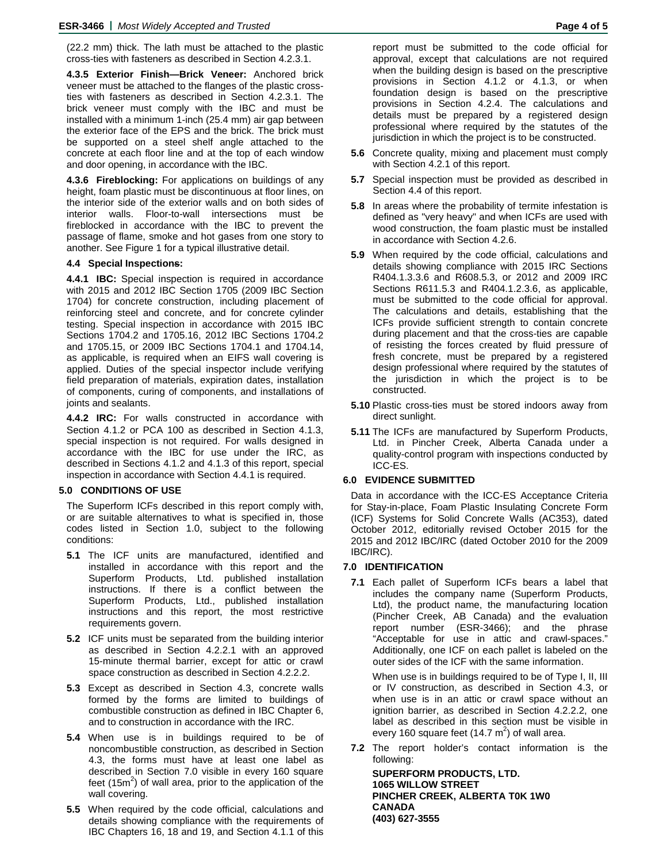(22.2 mm) thick. The lath must be attached to the plastic cross-ties with fasteners as described in Section 4.2.3.1.

**4.3.5 Exterior Finish—Brick Veneer:** Anchored brick veneer must be attached to the flanges of the plastic crossties with fasteners as described in Section 4.2.3.1. The brick veneer must comply with the IBC and must be installed with a minimum 1-inch (25.4 mm) air gap between the exterior face of the EPS and the brick. The brick must be supported on a steel shelf angle attached to the concrete at each floor line and at the top of each window and door opening, in accordance with the IBC.

**4.3.6 Fireblocking:** For applications on buildings of any height, foam plastic must be discontinuous at floor lines, on the interior side of the exterior walls and on both sides of interior walls. Floor-to-wall intersections must be fireblocked in accordance with the IBC to prevent the passage of flame, smoke and hot gases from one story to another. See Figure 1 for a typical illustrative detail.

#### **4.4 Special Inspections:**

**4.4.1 IBC:** Special inspection is required in accordance with 2015 and 2012 IBC Section 1705 (2009 IBC Section 1704) for concrete construction, including placement of reinforcing steel and concrete, and for concrete cylinder testing. Special inspection in accordance with 2015 IBC Sections 1704.2 and 1705.16, 2012 IBC Sections 1704.2 and 1705.15, or 2009 IBC Sections 1704.1 and 1704.14, as applicable, is required when an EIFS wall covering is applied. Duties of the special inspector include verifying field preparation of materials, expiration dates, installation of components, curing of components, and installations of joints and sealants.

**4.4.2 IRC:** For walls constructed in accordance with Section 4.1.2 or PCA 100 as described in Section 4.1.3, special inspection is not required. For walls designed in accordance with the IBC for use under the IRC, as described in Sections 4.1.2 and 4.1.3 of this report, special inspection in accordance with Section 4.4.1 is required.

#### **5.0 CONDITIONS OF USE**

The Superform ICFs described in this report comply with, or are suitable alternatives to what is specified in, those codes listed in Section 1.0, subject to the following conditions:

- **5.1** The ICF units are manufactured, identified and installed in accordance with this report and the Superform Products, Ltd. published installation instructions. If there is a conflict between the Superform Products, Ltd., published installation instructions and this report, the most restrictive requirements govern.
- **5.2** ICF units must be separated from the building interior as described in Section 4.2.2.1 with an approved 15-minute thermal barrier, except for attic or crawl space construction as described in Section 4.2.2.2.
- **5.3** Except as described in Section 4.3, concrete walls formed by the forms are limited to buildings of combustible construction as defined in IBC Chapter 6, and to construction in accordance with the IRC.
- **5.4** When use is in buildings required to be of noncombustible construction, as described in Section 4.3, the forms must have at least one label as described in Section 7.0 visible in every 160 square feet (15 $m<sup>2</sup>$ ) of wall area, prior to the application of the wall covering.
- **5.5** When required by the code official, calculations and details showing compliance with the requirements of IBC Chapters 16, 18 and 19, and Section 4.1.1 of this

report must be submitted to the code official for approval, except that calculations are not required when the building design is based on the prescriptive provisions in Section 4.1.2 or 4.1.3, or when foundation design is based on the prescriptive provisions in Section 4.2.4. The calculations and details must be prepared by a registered design professional where required by the statutes of the jurisdiction in which the project is to be constructed.

- **5.6** Concrete quality, mixing and placement must comply with Section 4.2.1 of this report.
- **5.7** Special inspection must be provided as described in Section 4.4 of this report.
- **5.8** In areas where the probability of termite infestation is defined as "very heavy" and when ICFs are used with wood construction, the foam plastic must be installed in accordance with Section 4.2.6.
- **5.9** When required by the code official, calculations and details showing compliance with 2015 IRC Sections R404.1.3.3.6 and R608.5.3, or 2012 and 2009 IRC Sections R611.5.3 and R404.1.2.3.6, as applicable, must be submitted to the code official for approval. The calculations and details, establishing that the ICFs provide sufficient strength to contain concrete during placement and that the cross-ties are capable of resisting the forces created by fluid pressure of fresh concrete, must be prepared by a registered design professional where required by the statutes of the jurisdiction in which the project is to be constructed.
- **5.10** Plastic cross-ties must be stored indoors away from direct sunlight.
- **5.11** The ICFs are manufactured by Superform Products, Ltd. in Pincher Creek, Alberta Canada under a quality-control program with inspections conducted by ICC-ES.

#### **6.0 EVIDENCE SUBMITTED**

Data in accordance with the ICC-ES Acceptance Criteria for Stay-in-place, Foam Plastic Insulating Concrete Form (ICF) Systems for Solid Concrete Walls (AC353), dated October 2012, editorially revised October 2015 for the 2015 and 2012 IBC/IRC (dated October 2010 for the 2009 IBC/IRC).

#### **7.0 IDENTIFICATION**

**7.1** Each pallet of Superform ICFs bears a label that includes the company name (Superform Products, Ltd), the product name, the manufacturing location (Pincher Creek, AB Canada) and the evaluation report number (ESR-3466); and the phrase "Acceptable for use in attic and crawl-spaces." Additionally, one ICF on each pallet is labeled on the outer sides of the ICF with the same information.

When use is in buildings required to be of Type I, II, III or IV construction, as described in Section 4.3, or when use is in an attic or crawl space without an ignition barrier, as described in Section 4.2.2.2, one label as described in this section must be visible in every 160 square feet (14.7 m<sup>2</sup>) of wall area.

**7.2** The report holder's contact information is the following:

**SUPERFORM PRODUCTS, LTD. 1065 WILLOW STREET PINCHER CREEK, ALBERTA T0K 1W0 CANADA (403) 627-3555**